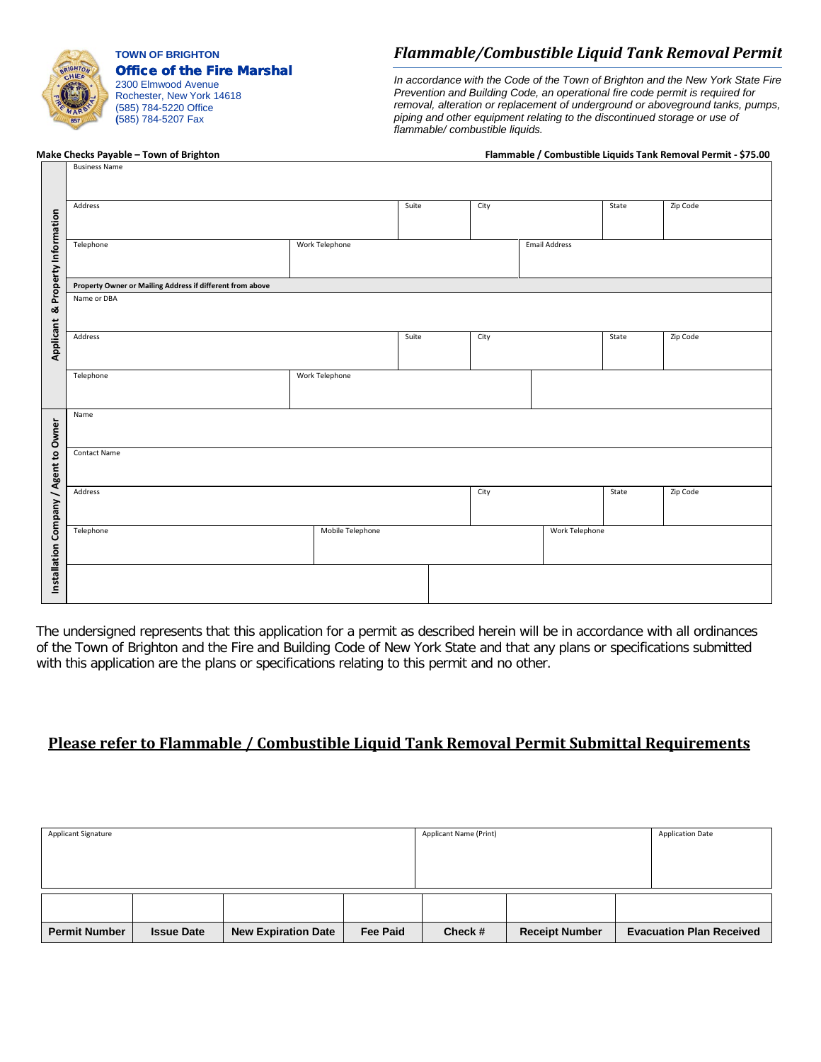

**TOWN OF BRIGHTON** Office of the Fire Marshal

2300 Elmwood Avenue Rochester, New York 14618 (585) 784-5220 Office **(**585) 784-5207 Fax

# *Flammable/Combustible Liquid Tank Removal Permit*

*In accordance with the Code of the Town of Brighton and the New York State Fire Prevention and Building Code, an operational fire code permit is required for removal, alteration or replacement of underground or aboveground tanks, pumps, piping and other equipment relating to the discontinued storage or use of flammable/ combustible liquids.*

# Business Name

#### **Make Checks Payable – Town of Brighton Flammable / Combustible Liquids Tank Removal Permit - \$75.00**

|                                       | Address                                                   |                  | Suite | City |                      | State    | Zip Code |  |  |  |  |
|---------------------------------------|-----------------------------------------------------------|------------------|-------|------|----------------------|----------|----------|--|--|--|--|
| Property Information                  | Telephone                                                 | Work Telephone   |       |      | <b>Email Address</b> |          |          |  |  |  |  |
|                                       | Property Owner or Mailing Address if different from above |                  |       |      |                      |          |          |  |  |  |  |
| ಹ                                     | Name or DBA                                               |                  |       |      |                      |          |          |  |  |  |  |
| Applicant                             | Address                                                   |                  | Suite | City |                      |          | Zip Code |  |  |  |  |
|                                       | Telephone                                                 | Work Telephone   |       |      |                      |          |          |  |  |  |  |
|                                       | Name                                                      |                  |       |      |                      |          |          |  |  |  |  |
|                                       | <b>Contact Name</b>                                       |                  |       |      |                      |          |          |  |  |  |  |
|                                       | Address                                                   |                  | City  |      | State                | Zip Code |          |  |  |  |  |
| Installation Company / Agent to Owner | Telephone                                                 | Mobile Telephone |       |      | Work Telephone       |          |          |  |  |  |  |
|                                       |                                                           |                  |       |      |                      |          |          |  |  |  |  |

The undersigned represents that this application for a permit as described herein will be in accordance with all ordinances of the Town of Brighton and the Fire and Building Code of New York State and that any plans or specifications submitted with this application are the plans or specifications relating to this permit and no other.

#### **Please refer to Flammable / Combustible Liquid Tank Removal Permit Submittal Requirements**

| <b>Applicant Signature</b> |                   |                            | Applicant Name (Print) | <b>Application Date</b> |                       |  |                                 |
|----------------------------|-------------------|----------------------------|------------------------|-------------------------|-----------------------|--|---------------------------------|
|                            |                   |                            |                        |                         |                       |  |                                 |
|                            |                   |                            |                        |                         |                       |  |                                 |
|                            |                   |                            |                        |                         |                       |  |                                 |
|                            |                   |                            |                        |                         |                       |  |                                 |
|                            |                   |                            |                        |                         |                       |  |                                 |
|                            |                   |                            |                        |                         |                       |  |                                 |
| <b>Permit Number</b>       | <b>Issue Date</b> | <b>New Expiration Date</b> | <b>Fee Paid</b>        | Check#                  | <b>Receipt Number</b> |  | <b>Evacuation Plan Received</b> |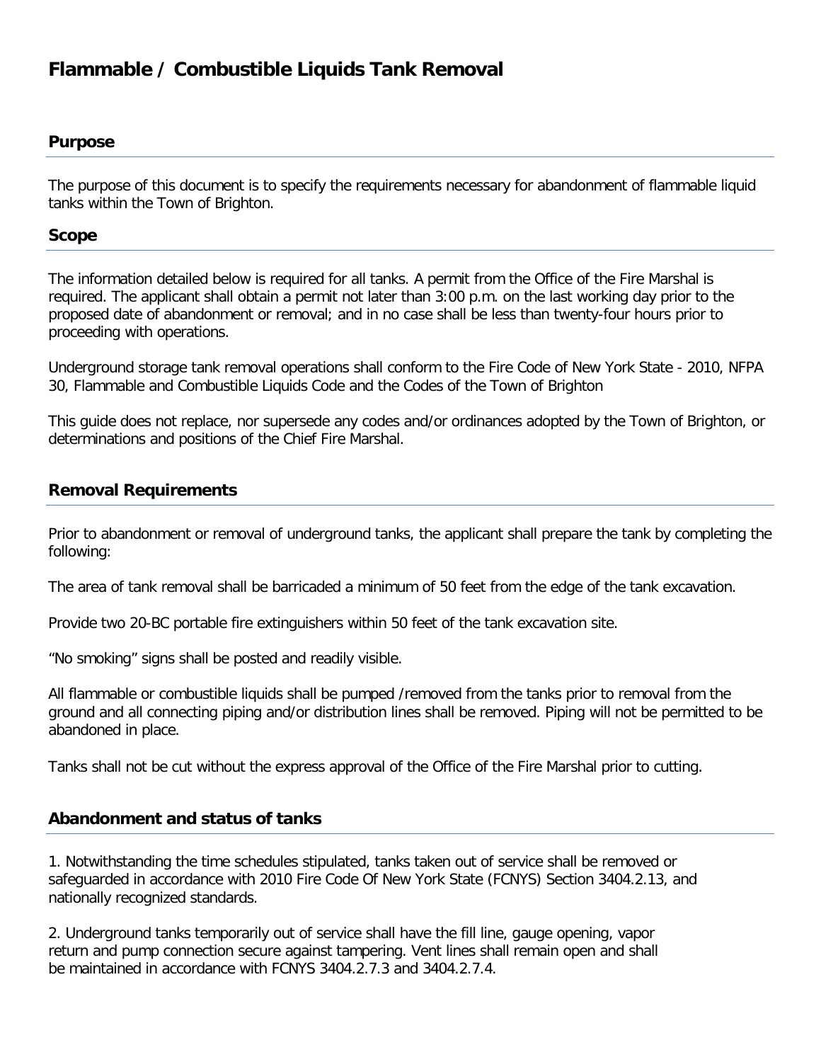# **Flammable / Combustible Liquids Tank Removal**

#### **Purpose**

The purpose of this document is to specify the requirements necessary for abandonment of flammable liquid tanks within the Town of Brighton.

#### **Scope**

The information detailed below is required for all tanks. A permit from the Office of the Fire Marshal is required. The applicant shall obtain a permit not later than 3:00 p.m. on the last working day prior to the proposed date of abandonment or removal; and in no case shall be less than twenty-four hours prior to proceeding with operations.

Underground storage tank removal operations shall conform to the Fire Code of New York State - 2010, NFPA 30, Flammable and Combustible Liquids Code and the Codes of the Town of Brighton

This guide does not replace, nor supersede any codes and/or ordinances adopted by the Town of Brighton, or determinations and positions of the Chief Fire Marshal.

# **Removal Requirements**

Prior to abandonment or removal of underground tanks, the applicant shall prepare the tank by completing the following:

The area of tank removal shall be barricaded a minimum of 50 feet from the edge of the tank excavation.

Provide two 20-BC portable fire extinguishers within 50 feet of the tank excavation site.

"No smoking" signs shall be posted and readily visible.

All flammable or combustible liquids shall be pumped /removed from the tanks prior to removal from the ground and all connecting piping and/or distribution lines shall be removed. Piping will not be permitted to be abandoned in place.

Tanks shall not be cut without the express approval of the Office of the Fire Marshal prior to cutting.

## **Abandonment and status of tanks**

1. Notwithstanding the time schedules stipulated, tanks taken out of service shall be removed or safeguarded in accordance with 2010 Fire Code Of New York State (FCNYS) Section 3404.2.13, and nationally recognized standards.

2. Underground tanks temporarily out of service shall have the fill line, gauge opening, vapor return and pump connection secure against tampering. Vent lines shall remain open and shall be maintained in accordance with FCNYS 3404.2.7.3 and 3404.2.7.4.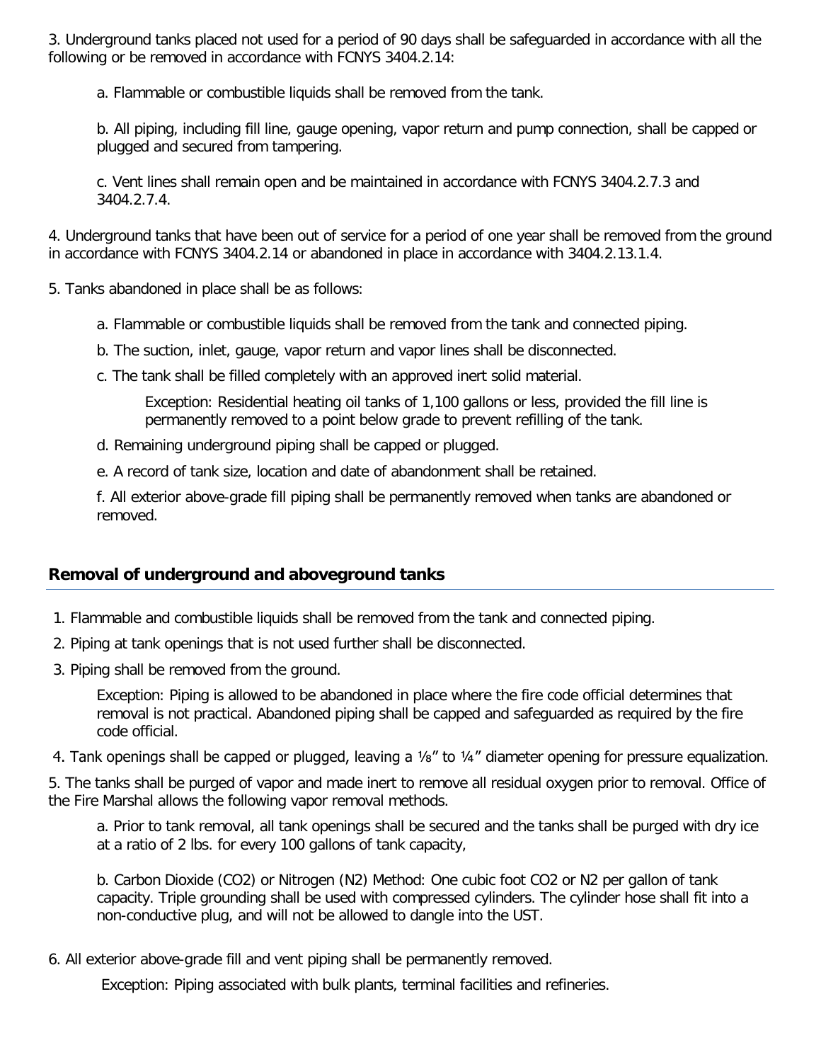3. Underground tanks placed not used for a period of 90 days shall be safeguarded in accordance with all the following or be removed in accordance with FCNYS 3404.2.14:

a. Flammable or combustible liquids shall be removed from the tank.

b. All piping, including fill line, gauge opening, vapor return and pump connection, shall be capped or plugged and secured from tampering.

c. Vent lines shall remain open and be maintained in accordance with FCNYS 3404.2.7.3 and 3404.2.7.4.

4. Underground tanks that have been out of service for a period of one year shall be removed from the ground in accordance with FCNYS 3404.2.14 or abandoned in place in accordance with 3404.2.13.1.4.

5. Tanks abandoned in place shall be as follows:

- a. Flammable or combustible liquids shall be removed from the tank and connected piping.
- b. The suction, inlet, gauge, vapor return and vapor lines shall be disconnected.
- c. The tank shall be filled completely with an approved inert solid material.

Exception: Residential heating oil tanks of 1,100 gallons or less, provided the fill line is permanently removed to a point below grade to prevent refilling of the tank.

- d. Remaining underground piping shall be capped or plugged.
- e. A record of tank size, location and date of abandonment shall be retained.

f. All exterior above-grade fill piping shall be permanently removed when tanks are abandoned or removed.

## **Removal of underground and aboveground tanks**

- 1. Flammable and combustible liquids shall be removed from the tank and connected piping.
- 2. Piping at tank openings that is not used further shall be disconnected.
- 3. Piping shall be removed from the ground.

Exception: Piping is allowed to be abandoned in place where the fire code official determines that removal is not practical. Abandoned piping shall be capped and safeguarded as required by the fire code official.

4. Tank openings shall be capped or plugged, leaving a 1/8" to 1/4" diameter opening for pressure equalization.

5. The tanks shall be purged of vapor and made inert to remove all residual oxygen prior to removal. Office of the Fire Marshal allows the following vapor removal methods.

a. Prior to tank removal, all tank openings shall be secured and the tanks shall be purged with dry ice at a ratio of 2 lbs. for every 100 gallons of tank capacity,

b. Carbon Dioxide (CO2) or Nitrogen (N2) Method: One cubic foot CO2 or N2 per gallon of tank capacity. Triple grounding shall be used with compressed cylinders. The cylinder hose shall fit into a non-conductive plug, and will not be allowed to dangle into the UST.

6. All exterior above-grade fill and vent piping shall be permanently removed.

Exception: Piping associated with bulk plants, terminal facilities and refineries.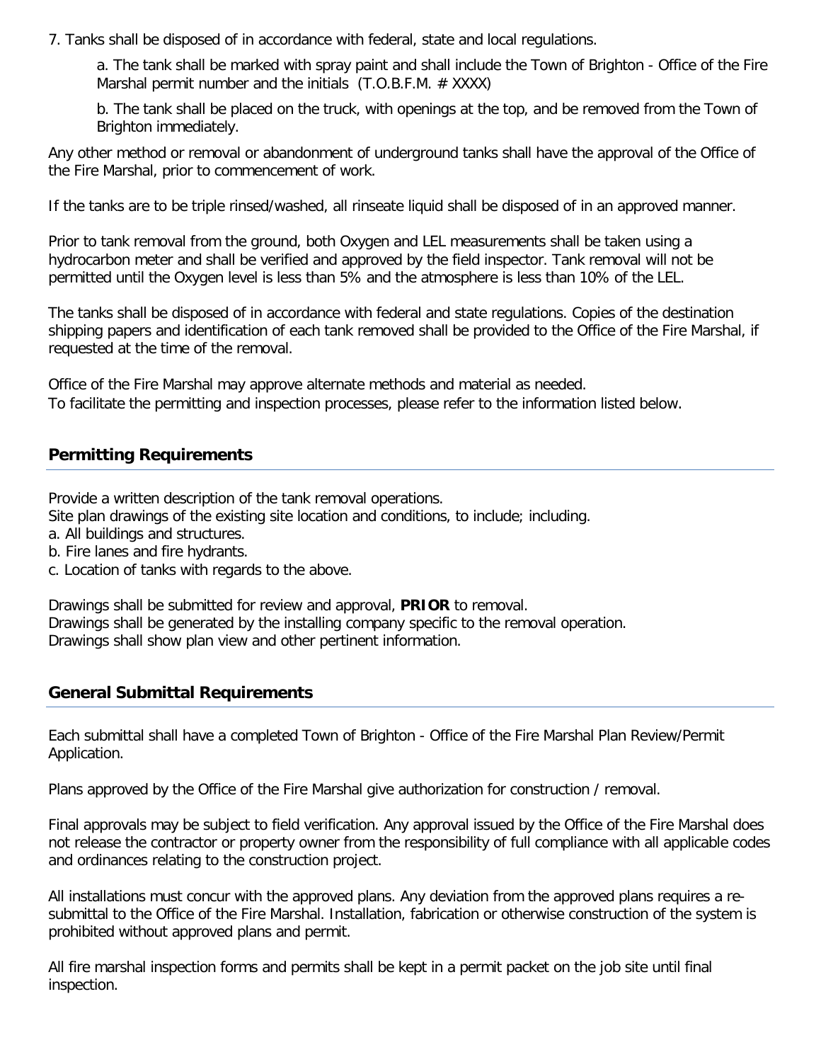7. Tanks shall be disposed of in accordance with federal, state and local regulations.

a. The tank shall be marked with spray paint and shall include the Town of Brighton - Office of the Fire Marshal permit number and the initials  $(T.O.B.F.M. # XXXX)$ 

b. The tank shall be placed on the truck, with openings at the top, and be removed from the Town of Brighton immediately.

Any other method or removal or abandonment of underground tanks shall have the approval of the Office of the Fire Marshal, prior to commencement of work.

If the tanks are to be triple rinsed/washed, all rinseate liquid shall be disposed of in an approved manner.

Prior to tank removal from the ground, both Oxygen and LEL measurements shall be taken using a hydrocarbon meter and shall be verified and approved by the field inspector. Tank removal will not be permitted until the Oxygen level is less than 5% and the atmosphere is less than 10% of the LEL.

The tanks shall be disposed of in accordance with federal and state regulations. Copies of the destination shipping papers and identification of each tank removed shall be provided to the Office of the Fire Marshal, if requested at the time of the removal.

Office of the Fire Marshal may approve alternate methods and material as needed. To facilitate the permitting and inspection processes, please refer to the information listed below.

## **Permitting Requirements**

Provide a written description of the tank removal operations.

Site plan drawings of the existing site location and conditions, to include; including.

- a. All buildings and structures.
- b. Fire lanes and fire hydrants.
- c. Location of tanks with regards to the above.

Drawings shall be submitted for review and approval, **PRIOR** to removal. Drawings shall be generated by the installing company specific to the removal operation. Drawings shall show plan view and other pertinent information.

#### **General Submittal Requirements**

Each submittal shall have a completed Town of Brighton - Office of the Fire Marshal Plan Review/Permit Application.

Plans approved by the Office of the Fire Marshal give authorization for construction / removal.

Final approvals may be subject to field verification. Any approval issued by the Office of the Fire Marshal does not release the contractor or property owner from the responsibility of full compliance with all applicable codes and ordinances relating to the construction project.

All installations must concur with the approved plans. Any deviation from the approved plans requires a resubmittal to the Office of the Fire Marshal. Installation, fabrication or otherwise construction of the system is prohibited without approved plans and permit.

All fire marshal inspection forms and permits shall be kept in a permit packet on the job site until final inspection.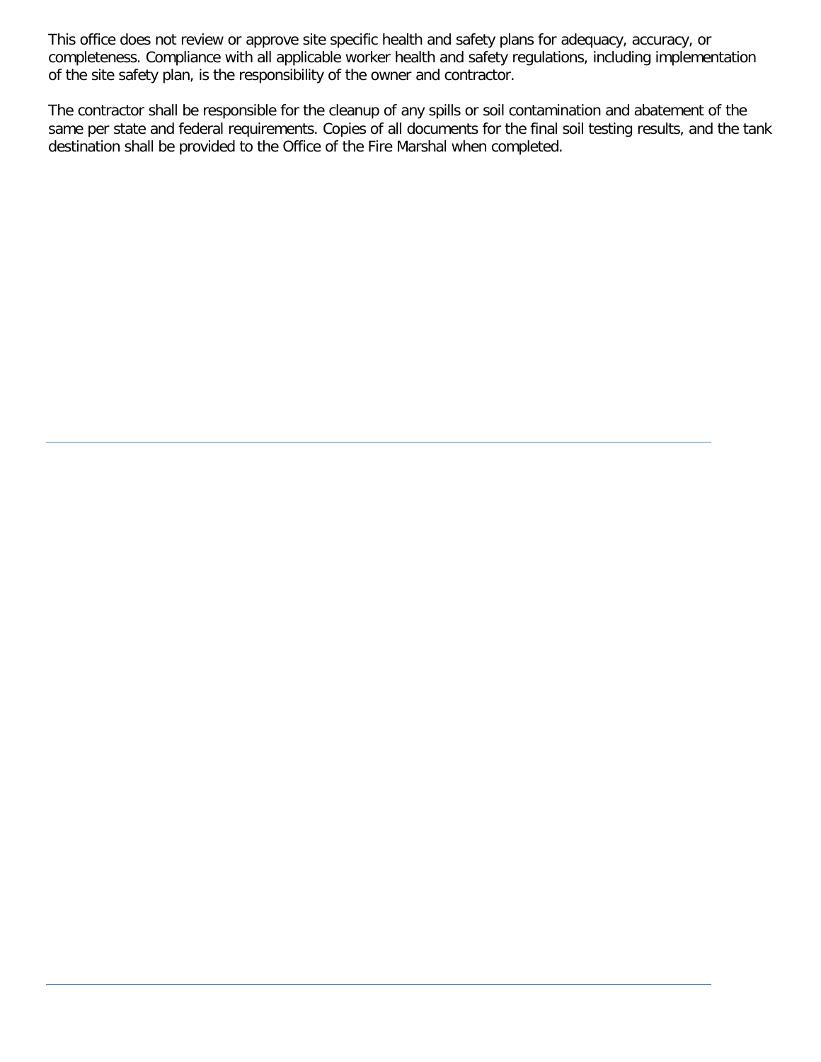This office does not review or approve site specific health and safety plans for adequacy, accuracy, or completeness. Compliance with all applicable worker health and safety regulations, including implementation of the site safety plan, is the responsibility of the owner and contractor.

The contractor shall be responsible for the cleanup of any spills or soil contamination and abatement of the same per state and federal requirements. Copies of all documents for the final soil testing results, and the tank destination shall be provided to the Office of the Fire Marshal when completed.